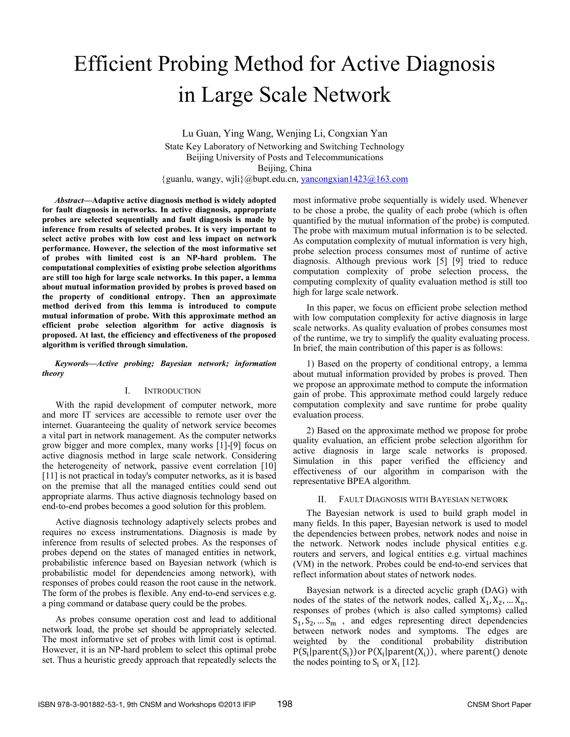# Efficient Probing Method for Active Diagnosis in Large Scale Network

Lu Guan, Ying Wang, Wenjing Li, Congxian Yan State Key Laboratory of Networking and Switching Technology Beijing University of Posts and Telecommunications Beijing, China {guanlu, wangy, wjli}@bupt.edu.cn, yancongxian1423@163.com

*Abstract***—Adaptive active diagnosis method is widely adopted for fault diagnosis in networks. In active diagnosis, appropriate probes are selected sequentially and fault diagnosis is made by inference from results of selected probes. It is very important to select active probes with low cost and less impact on network performance. However, the selection of the most informative set of probes with limited cost is an NP-hard problem. The computational complexities of existing probe selection algorithms are still too high for large scale networks. In this paper, a lemma about mutual information provided by probes is proved based on the property of conditional entropy. Then an approximate method derived from this lemma is introduced to compute mutual information of probe. With this approximate method an efficient probe selection algorithm for active diagnosis is proposed. At last, the efficiency and effectiveness of the proposed algorithm is verified through simulation.**

*Keywords—Active probing; Bayesian network; information theory* 

# I. INTRODUCTION

With the rapid development of computer network, more and more IT services are accessible to remote user over the internet. Guaranteeing the quality of network service becomes a vital part in network management. As the computer networks grow bigger and more complex, many works [1]-[9] focus on active diagnosis method in large scale network. Considering the heterogeneity of network, passive event correlation [10] [11] is not practical in today's computer networks, as it is based on the premise that all the managed entities could send out appropriate alarms. Thus active diagnosis technology based on end-to-end probes becomes a good solution for this problem.

Active diagnosis technology adaptively selects probes and requires no excess instrumentations. Diagnosis is made by inference from results of selected probes. As the responses of probes depend on the states of managed entities in network, probabilistic inference based on Bayesian network (which is probabilistic model for dependencies among network), with responses of probes could reason the root cause in the network. The form of the probes is flexible. Any end-to-end services e.g. a ping command or database query could be the probes.

As probes consume operation cost and lead to additional network load, the probe set should be appropriately selected. The most informative set of probes with limit cost is optimal. However, it is an NP-hard problem to select this optimal probe set. Thus a heuristic greedy approach that repeatedly selects the most informative probe sequentially is widely used. Whenever to be chose a probe, the quality of each probe (which is often quantified by the mutual information of the probe) is computed. The probe with maximum mutual information is to be selected. As computation complexity of mutual information is very high, probe selection process consumes most of runtime of active diagnosis. Although previous work [5] [9] tried to reduce computation complexity of probe selection process, the computing complexity of quality evaluation method is still too high for large scale network.

In this paper, we focus on efficient probe selection method with low computation complexity for active diagnosis in large scale networks. As quality evaluation of probes consumes most of the runtime, we try to simplify the quality evaluating process. In brief, the main contribution of this paper is as follows:

1) Based on the property of conditional entropy, a lemma about mutual information provided by probes is proved. Then we propose an approximate method to compute the information gain of probe. This approximate method could largely reduce computation complexity and save runtime for probe quality evaluation process.

2) Based on the approximate method we propose for probe quality evaluation, an efficient probe selection algorithm for active diagnosis in large scale networks is proposed. Simulation in this paper verified the efficiency and effectiveness of our algorithm in comparison with the representative BPEA algorithm.

# II. FAULT DIAGNOSIS WITH BAYESIAN NETWORK

The Bayesian network is used to build graph model in many fields. In this paper, Bayesian network is used to model the dependencies between probes, network nodes and noise in the network. Network nodes include physical entities e.g. routers and servers, and logical entities e.g. virtual machines (VM) in the network. Probes could be end-to-end services that reflect information about states of network nodes.

Bayesian network is a directed acyclic graph (DAG) with nodes of the states of the network nodes, called  $X_1, X_2, \ldots X_n$ , responses of probes (which is also called symptoms) called  $S_1, S_2, \ldots S_m$ , and edges representing direct dependencies between network nodes and symptoms. The edges are weighted by the conditional probability distribution  $P(S_i|parent(S_i))$ or  $P(X_i|parent(X_i))$ , where parent() denote the nodes pointing to  $S_i$  or  $X_i$  [12].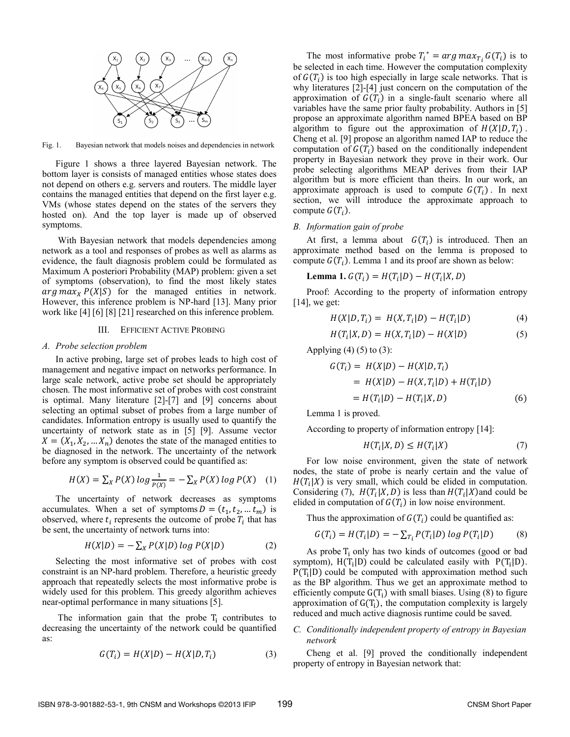

Fig. 1. Bayesian network that models noises and dependencies in network

Figure 1 shows a three layered Bayesian network. The bottom layer is consists of managed entities whose states does not depend on others e.g. servers and routers. The middle layer contains the managed entities that depend on the first layer e.g. VMs (whose states depend on the states of the servers they hosted on). And the top layer is made up of observed symptoms.

 With Bayesian network that models dependencies among network as a tool and responses of probes as well as alarms as evidence, the fault diagnosis problem could be formulated as Maximum A posteriori Probability (MAP) problem: given a set of symptoms (observation), to find the most likely states  $arg \, max_X P(X|S)$  for the managed entities in network. However, this inference problem is NP-hard [13]. Many prior work like [4] [6] [8] [21] researched on this inference problem.

## III. EFFICIENT ACTIVE PROBING

#### *A. Probe selection problem*

In active probing, large set of probes leads to high cost of management and negative impact on networks performance. In large scale network, active probe set should be appropriately chosen. The most informative set of probes with cost constraint is optimal. Many literature [2]-[7] and [9] concerns about selecting an optimal subset of probes from a large number of candidates. Information entropy is usually used to quantify the uncertainty of network state as in [5] [9]. Assume vector  $X = (X_1, X_2, \dots, X_n)$  denotes the state of the managed entities to be diagnosed in the network. The uncertainty of the network before any symptom is observed could be quantified as:

$$
H(X) = \sum_{X} P(X) \log \frac{1}{P(X)} = -\sum_{X} P(X) \log P(X) \quad (1)
$$

The uncertainty of network decreases as symptoms accumulates. When a set of symptoms  $D = (t_1, t_2, ... t_m)$  is observed, where  $t_i$  represents the outcome of probe  $T_i$  that has be sent, the uncertainty of network turns into:

$$
H(X|D) = -\sum_{X} P(X|D) \log P(X|D)
$$
 (2)

Selecting the most informative set of probes with cost constraint is an NP-hard problem. Therefore, a heuristic greedy approach that repeatedly selects the most informative probe is widely used for this problem. This greedy algorithm achieves near-optimal performance in many situations [5].

The information gain that the probe  $T_i$  contributes to decreasing the uncertainty of the network could be quantified as:

$$
G(T_i) = H(X|D) - H(X|D, T_i)
$$
\n(3)

The most informative probe  $T_i^* = arg max_{T_i} G(T_i)$  is to be selected in each time. However the computation complexity of  $G(T_i)$  is too high especially in large scale networks. That is why literatures [2]-[4] just concern on the computation of the approximation of  $G(T_i)$  in a single-fault scenario where all variables have the same prior faulty probability. Authors in [5] propose an approximate algorithm named BPEA based on BP algorithm to figure out the approximation of  $H(X|D, T_i)$ . Cheng et al. [9] propose an algorithm named IAP to reduce the computation of  $G(T_i)$  based on the conditionally independent property in Bayesian network they prove in their work. Our probe selecting algorithms MEAP derives from their IAP algorithm but is more efficient than theirs. In our work, an approximate approach is used to compute  $G(T_i)$ . In next section, we will introduce the approximate approach to compute  $G(T_i)$ .

## *B. Information gain of probe*

At first, a lemma about  $G(T_i)$  is introduced. Then an approximate method based on the lemma is proposed to compute  $G(T_i)$ . Lemma 1 and its proof are shown as below:

$$
Lemma 1. G(T_i) = H(T_i|D) - H(T_i|X,D)
$$

Proof: According to the property of information entropy [14], we get:

$$
H(X|D, T_i) = H(X, T_i|D) - H(T_i|D)
$$
 (4)

$$
H(T_i|X,D) = H(X,T_i|D) - H(X|D)
$$
 (5)

Applying  $(4)$   $(5)$  to  $(3)$ :

$$
G(T_i) = H(X|D) - H(X|D, T_i)
$$
  
= H(X|D) - H(X, T\_i|D) + H(T\_i|D)  
= H(T\_i|D) - H(T\_i|X, D) (6)

Lemma 1 is proved.

According to property of information entropy [14]:

$$
H(T_i|X,D) \le H(T_i|X) \tag{7}
$$

For low noise environment, given the state of network nodes, the state of probe is nearly certain and the value of  $H(T_i|X)$  is very small, which could be elided in computation. Considering (7),  $H(T_i|X, D)$  is less than  $H(T_i|X)$  and could be elided in computation of  $G(T_i)$  in low noise environment.

Thus the approximation of  $G(T_i)$  could be quantified as:

$$
G(T_i) = H(T_i|D) = -\sum_{T_i} P(T_i|D) \log P(T_i|D) \tag{8}
$$

As probe  $T_i$  only has two kinds of outcomes (good or bad symptom),  $H(T_i|D)$  could be calculated easily with  $P(T_i|D)$ .  $P(T_i|D)$  could be computed with approximation method such as the BP algorithm. Thus we get an approximate method to efficiently compute  $G(T_i)$  with small biases. Using (8) to figure approximation of  $G(T_i)$ , the computation complexity is largely reduced and much active diagnosis runtime could be saved.

# *C. Conditionally independent property of entropy in Bayesian network*

Cheng et al. [9] proved the conditionally independent property of entropy in Bayesian network that: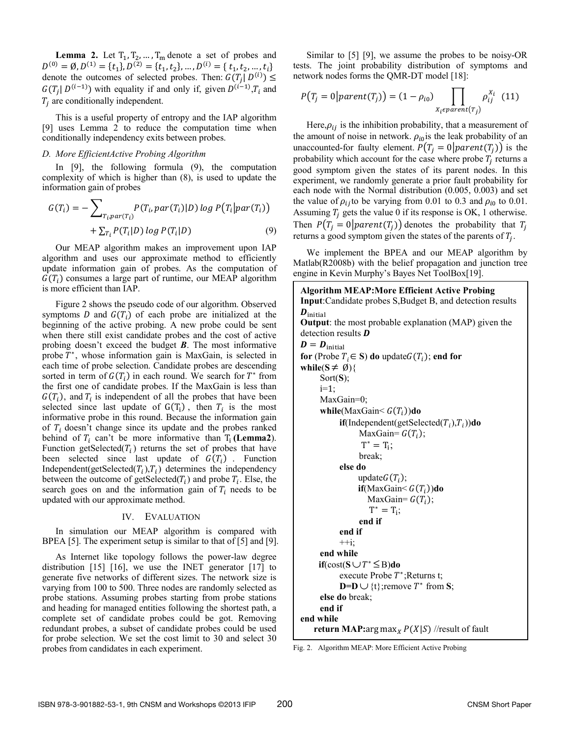**Lemma 2.** Let  $T_1, T_2, \ldots, T_m$  denote a set of probes and  $D^{(0)} = \emptyset, D^{(1)} = \{t_1\}, D^{(2)} = \{t_1, t_2\}, \dots, D^{(i)} = \{t_1, t_2, \dots, t_i\}$ denote the outcomes of selected probes. Then:  $G(T_i | D^{(i)}) \leq$  $G(T_i | D^{(i-1)})$  with equality if and only if, given  $D^{(i-1)}$ ,  $T_i$  and  $T_i$  are conditionally independent.

This is a useful property of entropy and the IAP algorithm [9] uses Lemma 2 to reduce the computation time when conditionally independency exits between probes.

# *D. More EfficientActive Probing Algorithm*

In [9], the following formula (9), the computation complexity of which is higher than (8), is used to update the information gain of probes

$$
G(T_i) = -\sum_{T_i, par(T_i)} P(T_i, par(T_i)|D) \log P(T_i | par(T_i))
$$

$$
+ \sum_{T_i} P(T_i|D) \log P(T_i|D)
$$
(9)

Our MEAP algorithm makes an improvement upon IAP algorithm and uses our approximate method to efficiently update information gain of probes. As the computation of  $G(T_i)$  consumes a large part of runtime, our MEAP algorithm is more efficient than IAP.

Figure 2 shows the pseudo code of our algorithm. Observed symptoms  $D$  and  $G(T_i)$  of each probe are initialized at the beginning of the active probing. A new probe could be sent when there still exist candidate probes and the cost of active probing doesn't exceed the budget *B*. The most informative probe  $T^*$ , whose information gain is MaxGain, is selected in each time of probe selection. Candidate probes are descending sorted in term of  $G(T_i)$  in each round. We search for  $T^*$  from the first one of candidate probes. If the MaxGain is less than  $G(T_i)$ , and  $T_i$  is independent of all the probes that have been selected since last update of  $G(T_i)$ , then  $T_i$  is the most informative probe in this round. Because the information gain of  $T_i$  doesn't change since its update and the probes ranked behind of  $T_i$  can't be more informative than  $T_i$  (**Lemma2**). Function getSelected( $T_i$ ) returns the set of probes that have been selected since last update of  $G(T_i)$ . Function Independent(getSelected $(T_i)$ , $T_i$ ) determines the independency between the outcome of getSelected $(T_i)$  and probe  $T_i$ . Else, the search goes on and the information gain of  $T_i$  needs to be updated with our approximate method.

# IV. EVALUATION

In simulation our MEAP algorithm is compared with BPEA [5]. The experiment setup is similar to that of [5] and [9].

As Internet like topology follows the power-law degree distribution [15] [16], we use the INET generator [17] to generate five networks of different sizes. The network size is varying from 100 to 500. Three nodes are randomly selected as probe stations. Assuming probes starting from probe stations and heading for managed entities following the shortest path, a complete set of candidate probes could be got. Removing redundant probes, a subset of candidate probes could be used for probe selection. We set the cost limit to 30 and select 30 probes from candidates in each experiment.

Similar to [5] [9], we assume the probes to be noisy-OR tests. The joint probability distribution of symptoms and network nodes forms the QMR-DT model [18]:

$$
P(T_j = 0 | parent(T_j)) = (1 - \rho_{io}) \prod_{X_i \in parent(T_j)} \rho_{ij}^{X_i} \quad (11)
$$

Here, $\rho_{ii}$  is the inhibition probability, that a measurement of the amount of noise in network.  $\rho_{i0}$  is the leak probability of an unaccounted-for faulty element.  $P(T_i = 0 | parent(T_i))$  is the probability which account for the case where probe  $T_i$  returns a good symptom given the states of its parent nodes. In this experiment, we randomly generate a prior fault probability for each node with the Normal distribution (0.005, 0.003) and set the value of  $\rho_{ij}$  to be varying from 0.01 to 0.3 and  $\rho_{i0}$  to 0.01. Assuming  $T_i$  gets the value 0 if its response is OK, 1 otherwise. Then  $P(T_i = 0 | parent(T_i))$  denotes the probability that  $T_i$ returns a good symptom given the states of the parents of  $T_i$ .

We implement the BPEA and our MEAP algorithm by Matlab(R2008b) with the belief propagation and junction tree engine in Kevin Murphy's Bayes Net ToolBox[19].

| <b>Algorithm MEAP: More Efficient Active Probing</b>                       |
|----------------------------------------------------------------------------|
| Input:Candidate probes S, Budget B, and detection results                  |
| $\boldsymbol{D}_{\text{initial}}$                                          |
| <b>Output:</b> the most probable explanation (MAP) given the               |
| detection results <b>D</b>                                                 |
| $\boldsymbol{D} = \boldsymbol{D}_{\text{initial}}$                         |
| for (Probe $T_i \in S$ ) do update $G(T_i)$ ; end for                      |
| while( $S \neq \emptyset$ ){                                               |
| Sort(S);                                                                   |
| $i=1$ :                                                                    |
| MaxGain=0;                                                                 |
| while(MaxGain $\leq G(T_i)$ )do                                            |
| $\mathbf{if}(\text{Independent}(\text{getSelected}(T_i), T_i))\mathbf{do}$ |
| MaxGain= $G(T_i)$ ;                                                        |
| $T^* = T_i$ ;                                                              |
| break;                                                                     |
| else do                                                                    |
| update $G(T_i)$ ;                                                          |
| $if$ (MaxGain $\leq G(T_i)$ )do                                            |
| MaxGain= $G(T_i)$ ;                                                        |
| $T^* = T_i;$                                                               |
| end if                                                                     |
| end if                                                                     |
| $+i$ ;                                                                     |
| end while                                                                  |
| $\textbf{if}(\text{cost}(S \cup T^* \leq B)$ do                            |
| execute Probe $T^*$ ; Returns t;                                           |
| <b>D=D</b> $\cup$ {t}; remove $T^*$ from <b>S</b> ;                        |
| else do break;                                                             |
| end if                                                                     |
| end while                                                                  |
| return MAP:arg max <sub>X</sub> $P(X S)$ //result of fault                 |

|  | Fig. 2. Algorithm MEAP: More Efficient Active Probing |  |  |  |  |  |
|--|-------------------------------------------------------|--|--|--|--|--|
|--|-------------------------------------------------------|--|--|--|--|--|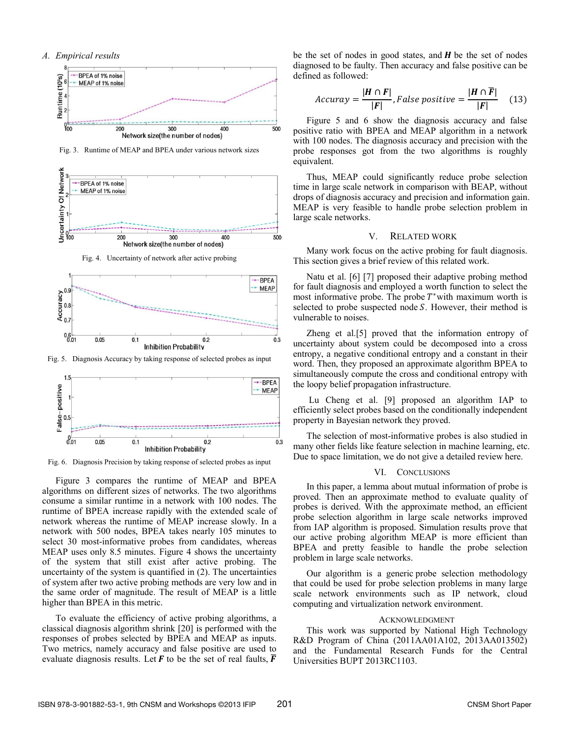#### *A. Empirical results*



Fig. 3. Runtime of MEAP and BPEA under various network sizes



Fig. 4. Uncertainty of network after active probing



Fig. 5. Diagnosis Accuracy by taking response of selected probes as input



Fig. 6. Diagnosis Precision by taking response of selected probes as input

Figure 3 compares the runtime of MEAP and BPEA algorithms on different sizes of networks. The two algorithms consume a similar runtime in a network with 100 nodes. The runtime of BPEA increase rapidly with the extended scale of network whereas the runtime of MEAP increase slowly. In a network with 500 nodes, BPEA takes nearly 105 minutes to select 30 most-informative probes from candidates, whereas MEAP uses only 8.5 minutes. Figure 4 shows the uncertainty of the system that still exist after active probing. The uncertainty of the system is quantified in (2). The uncertainties of system after two active probing methods are very low and in the same order of magnitude. The result of MEAP is a little higher than BPEA in this metric.

To evaluate the efficiency of active probing algorithms, a classical diagnosis algorithm shrink [20] is performed with the responses of probes selected by BPEA and MEAP as inputs. Two metrics, namely accuracy and false positive are used to evaluate diagnosis results. Let  $\vec{F}$  to be the set of real faults,  $\vec{F}$  be the set of nodes in good states, and  $H$  be the set of nodes diagnosed to be faulty. Then accuracy and false positive can be defined as followed:

$$
Accuracy = \frac{|H \cap F|}{|F|}, False positive = \frac{|H \cap \overline{F}|}{|F|} \quad (13)
$$

Figure 5 and 6 show the diagnosis accuracy and false positive ratio with BPEA and MEAP algorithm in a network with 100 nodes. The diagnosis accuracy and precision with the probe responses got from the two algorithms is roughly equivalent.

Thus, MEAP could significantly reduce probe selection time in large scale network in comparison with BEAP, without drops of diagnosis accuracy and precision and information gain. MEAP is very feasible to handle probe selection problem in large scale networks.

## V. RELATED WORK

Many work focus on the active probing for fault diagnosis. This section gives a brief review of this related work.

Natu et al. [6] [7] proposed their adaptive probing method for fault diagnosis and employed a worth function to select the most informative probe. The probe  $T^*$  with maximum worth is selected to probe suspected node  $S$ . However, their method is vulnerable to noises.

Zheng et al.[5] proved that the information entropy of uncertainty about system could be decomposed into a cross entropy, a negative conditional entropy and a constant in their word. Then, they proposed an approximate algorithm BPEA to simultaneously compute the cross and conditional entropy with the loopy belief propagation infrastructure.

 Lu Cheng et al. [9] proposed an algorithm IAP to efficiently select probes based on the conditionally independent property in Bayesian network they proved.

The selection of most-informative probes is also studied in many other fields like feature selection in machine learning, etc. Due to space limitation, we do not give a detailed review here.

#### VI. CONCLUSIONS

In this paper, a lemma about mutual information of probe is proved. Then an approximate method to evaluate quality of probes is derived. With the approximate method, an efficient probe selection algorithm in large scale networks improved from IAP algorithm is proposed. Simulation results prove that our active probing algorithm MEAP is more efficient than BPEA and pretty feasible to handle the probe selection problem in large scale networks.

Our algorithm is a generic probe selection methodology that could be used for probe selection problems in many large scale network environments such as IP network, cloud computing and virtualization network environment.

#### ACKNOWLEDGMENT

This work was supported by National High Technology R&D Program of China (2011AA01A102, 2013AA013502) and the Fundamental Research Funds for the Central Universities BUPT 2013RC1103.